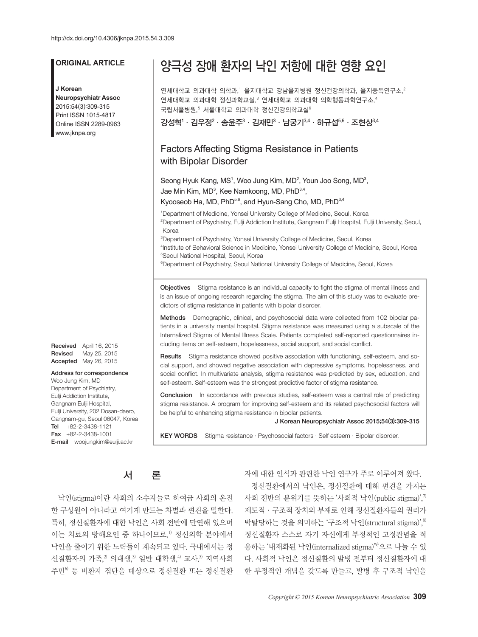# **ORIGINAL ARTICLE**

#### **J Korean**

**Neuropsychiatr Assoc** 2015;54(3):309-315 Print ISSN 1015-4817 Online ISSN 2289-0963 www.jknpa.org

Received April 16, 2015 Revised May 25, 2015 Accepted May 26, 2015

#### Address for correspondence

Woo Jung Kim, MD Department of Psychiatry, Eulji Addiction Institute, Gangnam Eulii Hospital, Eulji University, 202 Dosan-daero, Gangnam-gu, Seoul 06047, Korea Tel +82-2-3438-1121 Fax +82-2-3438-1001 E-mail woojungkim@eulji.ac.kr

# 양극성 장애 환자의 낙인 저항에 대한 영향 요인

연세대학교 의과대학 의학과,' 을지대학교 강남을지병원 정신건강의학과, 을지중독연구소, $^2$ 연세대학교 의과대학 정신과학교실, 연세대학교 의과대학 의학행동과학연구소,4 국립서울병원, 서울대학교 의과대학 정신건강의학교실

강성혁' · 김우정 $^2$  · 송윤주 $^3$  · 김재민 $^3$  · 남궁기 $^{3,4}$  · 하규섭 $^{5,6}$  · 조현상 $^{3,4}$ 

# Factors Affecting Stigma Resistance in Patients with Bipolar Disorder

Seong Hyuk Kang, MS<sup>1</sup>, Woo Jung Kim, MD<sup>2</sup>, Youn Joo Song, MD<sup>3</sup>, Jae Min Kim, MD<sup>3</sup>, Kee Namkoong, MD, PhD<sup>3,4</sup>,

Kyooseob Ha, MD,  $PhD^{5,6}$ , and Hyun-Sang Cho, MD,  $PhD^{3,4}$ 

<sup>1</sup>Department of Medicine, Yonsei University College of Medicine, Seoul, Korea 2 Department of Psychiatry, Eulji Addiction Institute, Gangnam Eulji Hospital, Eulji University, Seoul, Korea 3 Department of Psychiatry, Yonsei University College of Medicine, Seoul, Korea

4 Institute of Behavioral Science in Medicine, Yonsei University College of Medicine, Seoul, Korea 5 Seoul National Hospital, Seoul, Korea

<sup>6</sup>Department of Psychiatry, Seoul National University College of Medicine, Seoul, Korea

Objectives Stigma resistance is an individual capacity to fight the stigma of mental illness and is an issue of ongoing research regarding the stigma. The aim of this study was to evaluate predictors of stigma resistance in patients with bipolar disorder.

Methods Demographic, clinical, and psychosocial data were collected from 102 bipolar patients in a university mental hospital. Stigma resistance was measured using a subscale of the Internalized Stigma of Mental Illness Scale. Patients completed self-reported questionnaires including items on self-esteem, hopelessness, social support, and social conflict.

Results Stigma resistance showed positive association with functioning, self-esteem, and social support, and showed negative association with depressive symptoms, hopelessness, and social conflict. In multivariate analysis, stigma resistance was predicted by sex, education, and self-esteem. Self-esteem was the strongest predictive factor of stigma resistance.

**Conclusion** In accordance with previous studies, self-esteem was a central role of predicting stigma resistance. A program for improving self-esteem and its related psychosocial factors will be helpful to enhancing stigma resistance in bipolar patients.

J Korean Neuropsychiatr Assoc 2015;54(3):309-315

KEY WORDS Stigma resistance · Psychosocial factors · Self esteem · Bipolar disorder.

# 서 론

낙인(stigma)이란 사회의 소수자들로 하여금 사회의 온전 한 구성원이 아니라고 여기게 만드는 차별과 편견을 말한다. 특히, 정신질환자에 대한 낙인은 사회 전반에 만연해 있으며 이는 치료의 방해요인 중 하나이므로, 1) 정신의학 분야에서 낙인을 줄이기 위한 노력들이 계속되고 있다. 국내에서는 정 신질환자의 가족, $^2$  의대생, $^3$  일반 대학생, $^4$  교사, $^5$  지역사회 주민6) 등 비환자 집단을 대상으로 정신질환 또는 정신질환 자에 대한 인식과 관련한 낙인 연구가 주로 이루어져 왔다.

정신질환에서의 낙인은, 정신질환에 대해 편견을 가지는 사회 전반의 분위기를 뜻하는 '사회적 낙인(public stigma)', $^\eta$ 제도적·구조적 장치의 부재로 인해 정신질환자들의 권리가 박탈당하는 것을 의미하는 '구조적 낙인(structural stigma)', 8) 정신질환자 스스로 자기 자신에게 부정적인 고정관념을 적 용하는 '내재화된 낙인(internalized stigma)'<sup>9)</sup>으로 나눌 수 있 다. 사회적 낙인은 정신질환의 발병 전부터 정신질환자에 대 한 부정적인 개념을 갖도록 만들고, 발병 후 구조적 낙인을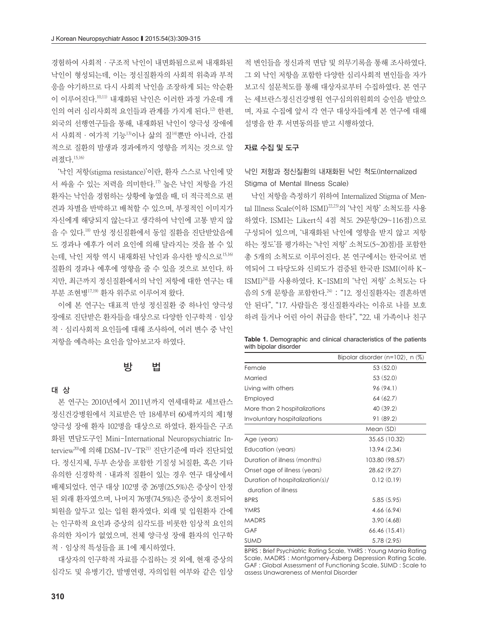경험하여 사회적·구조적 낙인이 내면화됨으로써 내재화된 낙인이 형성되는데, 이는 정신질환자의 사회적 위축과 부적 응을 야기하므로 다시 사회적 낙인을 조장하게 되는 악순환 이 이루어진다. 10,11) 내재화된 낙인은 이러한 과정 가운데 개 인의 여러 심리사회적 요인들과 관계를 가지게 된다. 12) 한편, 외국의 선행연구들을 통해, 내재화된 낙인이 양극성 장애에 서 사회적 · 여가적 기능<sup>13)</sup>이나 삶의 질<sup>14)</sup>뿐만 아니라, 간접 적으로 질환의 발생과 경과에까지 영향을 끼치는 것으로 알 려졌다. 15,16)

'낙인 저항(stigma resistance)'이란, 환자 스스로 낙인에 맞 서 싸울 수 있는 저력을 의미한다. 17) 높은 낙인 저항을 가진 환자는 낙인을 경험하는 상황에 놓였을 때, 더 적극적으로 편 견과 차별을 반박하고 배척할 수 있으며, 부정적인 이미지가 자신에게 해당되지 않는다고 생각하여 낙인에 고통 받지 않 을 수 있다. 18) 만성 정신질환에서 동일 질환을 진단받았음에 도 경과나 예후가 여러 요인에 의해 달라지는 것을 볼 수 있 는데, 낙인 저항 역시 내재화된 낙인과 유사한 방식으로15,16) 질환의 경과나 예후에 영향을 줄 수 있을 것으로 보인다. 하 지만, 최근까지 정신질환에서의 낙인 저항에 대한 연구는 대 부분 조현병17,19) 환자 위주로 이루어져 왔다.

이에 본 연구는 대표적 만성 정신질환 중 하나인 양극성 장애로 진단받은 환자들을 대상으로 다양한 인구학적·임상 적·심리사회적 요인들에 대해 조사하여, 여러 변수 중 낙인 저항을 예측하는 요인을 알아보고자 하였다.

# 방 법

# 대 상

본 연구는 2010년에서 2011년까지 연세대학교 세브란스 정신건강병원에서 치료받은 만 18세부터 60세까지의 제1형 양극성 장애 환자 102명을 대상으로 하였다. 환자들은 구조 화된 면담도구인 Mini-International Neuropsychiatric Interview<sup>20)</sup>에 의해 DSM-IV-TR<sup>21)</sup> 진단기준에 따라 진단되었 다. 정신지체, 두부 손상을 포함한 기질성 뇌질환, 혹은 기타 유의한 신경학적·내과적 질환이 있는 경우 연구 대상에서 배제되었다. 연구 대상 102명 중 26명(25.5%)은 증상이 안정 된 외래 환자였으며, 나머지 76명(74.5%)은 증상이 호전되어 퇴원을 앞두고 있는 입원 환자였다. 외래 및 입원환자 간에 는 인구학적 요인과 증상의 심각도를 비롯한 임상적 요인의 유의한 차이가 없었으며, 전체 양극성 장애 환자의 인구학 적·임상적 특성들을 표 1에 제시하였다.

대상자의 인구학적 자료를 수집하는 것 외에, 현재 증상의 심각도 및 유병기간, 발병연령, 자의입원 여부와 같은 임상 적 변인들을 정신과적 면담 및 의무기록을 통해 조사하였다. 그 외 낙인 저항을 포함한 다양한 심리사회적 변인들을 자가 보고식 설문척도를 통해 대상자로부터 수집하였다. 본 연구 는 세브란스정신건강병원 연구심의위원회의 승인을 받았으 며, 자료 수집에 앞서 각 연구 대상자들에게 본 연구에 대해 설명을 한 후 서면동의를 받고 시행하였다.

### 자료 수집 및 도구

# 낙인 저항과 정신질환의 내재화된 낙인 척도(Internalized Stigma of Mental Illness Scale)

낙인 저항을 측정하기 위하여 Internalized Stigma of Mental Illness Scale(이하 ISMI) 22,23) 의 '낙인 저항' 소척도를 사용 하였다. ISMI는 Likert식 4점 척도 29문항(29~116점)으로 구성되어 있으며, '내재화된 낙인에 영향을 받지 않고 저항 하는 정도'를 평가하는 '낙인 저항' 소척도(5~20점)를 포함한 총 5개의 소척도로 이루어진다. 본 연구에서는 한국어로 번 역되어 그 타당도와 신뢰도가 검증된 한국판 ISMI(이하 K-ISMI) 24) 를 사용하였다. K-ISMI의 '낙인 저항' 소척도는 다 음의 5개 문항을 포함한다. 24) : "12. 정신질환자는 결혼하면 안 된다", "17. 사람들은 정신질환자라는 이유로 나를 보호 하려 들거나 어린 아이 취급을 한다", "22. 내 가족이나 친구

| Table 1. Demographic and clinical characteristics of the patients |  |  |  |
|-------------------------------------------------------------------|--|--|--|
| with bipolar disorder                                             |  |  |  |

|                                 | Bipolar disorder $(n=102)$ , n $(\%)$ |
|---------------------------------|---------------------------------------|
| Female                          | 53(52.0)                              |
| Married                         | 53(52.0)                              |
| Living with others              | 96 (94.1)                             |
| Employed                        | 64(62.7)                              |
| More than 2 hospitalizations    | 40 (39.2)                             |
| Involuntary hospitalizations    | 91 (89.2)                             |
|                                 | Mean (SD)                             |
| Age (years)                     | 35.65 (10.32)                         |
| Education (years)               | 13.94(2.34)                           |
| Duration of illness (months)    | 103.80 (98.57)                        |
| Onset age of illness (years)    | 28.62(9.27)                           |
| Duration of hospitalization(s)/ | 0.12(0.19)                            |
| duration of illness             |                                       |
| <b>BPRS</b>                     | 5.85(5.95)                            |
| <b>YMRS</b>                     | 4.66(6.94)                            |
| <b>MADRS</b>                    | 3.90(4.68)                            |
| GAF                             | 66.46 (15.41)                         |
| <b>SUMD</b>                     | 5.78 (2.95)                           |

BPRS : Brief Psychiatric Rating Scale, YMRS : Young Mania Rating Scale, MADRS : Montgomery-Åsberg Depression Rating Scale, GAF : Global Assessment of Functioning Scale, SUMD : Scale to assess Unawareness of Mental Disorder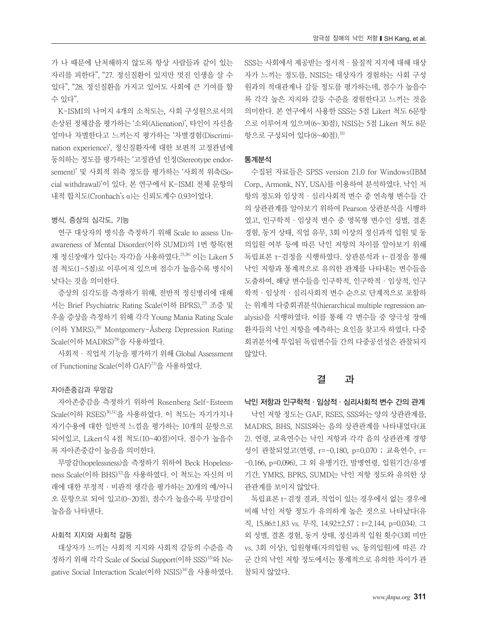가 나 때문에 난처해하지 않도록 항상 사람들과 같이 있는 자리를 피한다", "27. 정신질환이 있지만 멋진 인생을 살 수 있다", "28. 정신질환을 가지고 있어도 사회에 큰 기여를 할 수 있다".

K-ISMI의 나머지 4개의 소척도는, 사회 구성원으로서의 손상된 정체감을 평가하는 '소외(Alienation)', 타인이 자신을 얼마나 차별한다고 느끼는지 평가하는 '차별경험(Discrimination experience)', 정신질환자에 대한 보편적 고정관념에 동의하는 정도를 평가하는 '고정관념 인정(Stereotype endorsement)' 및 사회적 위축 정도를 평가하는 '사회적 위축(Social withdrawal)'이 있다. 본 연구에서 K-ISMI 전체 문항의 내적 합치도(Cronbach's α)는 신뢰도계수 0.93이었다.

### 병식, 증상의 심각도, 기능

연구 대상자의 병식을 측정하기 위해 Scale to assess Unawareness of Mental Disorder(이하 SUMD)의 1번 항목(현 재 정신장애가 있다는 자각)을 사용하였다.<sup>25,26)</sup> 이는 Likert 5 점 척도(1~5점)로 이루어져 있으며 점수가 높을수록 병식이 낮다는 것을 의미한다.

증상의 심각도를 측정하기 위해, 전반적 정신병리에 대해 서는 Brief Psychiatric Rating Scale(이하 BPRS), 27) 조증 및 우울 증상을 측정하기 위해 각각 Young Mania Rating Scale (이하 YMRS),<sup>28)</sup> Montgomery-Åsberg Depression Rating Scale(이하 MADRS) 29) 을 사용하였다.

사회적·직업적 기능을 평가하기 위해 Global Assessment of Functioning Scale(이하 GAF) 21) 을 사용하였다.

### 자아존중감과 무망감

자아존중감을 측정하기 위하여 Rosenberg Self-Esteem Scale(이하 RSES)30,31)을 사용하였다. 이 척도는 자기가치나 자기수용에 대한 일반적 느낌을 평가하는 10개의 문항으로 되어있고, Likert식 4점 척도(10~40점)이다. 점수가 높을수 록 자아존중감이 높음을 의미한다.

무망감(hopelessness)을 측정하기 위하여 Beck Hopelessness Scale(이하 BHS)32을 사용하였다. 이 척도는 자신의 미 래에 대한 부정적·비관적 생각을 평가하는 20개의 예/아니 오 문항으로 되어 있고(0~20점), 점수가 높을수록 무망감이 높음을 나타낸다.

#### 사회적 지지와 사회적 갈등

대상자가 느끼는 사회적 지지와 사회적 갈등의 수준을 측 정하기 위해 각각 Scale of Social Support(이하 SSS) 33) 와 Negative Social Interaction Scale(이하 NSIS) 34) 을 사용하였다.

SSS는 사회에서 제공받는 정서적·물질적 지지에 대해 대상 자가 느끼는 정도를, NSIS는 대상자가 경험하는 사회 구성 원과의 적대관계나 갈등 정도를 평가하는데, 점수가 높을수 록 각각 높은 지지와 갈등 수준을 경험한다고 느끼는 것을 의미한다. 본 연구에서 사용한 SSS는 5점 Likert 척도 6문항 으로 이루어져 있으며(6~30점), NSIS는 5점 Likert 척도 8문 항으로 구성되어 있다(8~40점). 35)

#### 통계분석

수집된 자료들은 SPSS version 21.0 for Windows(IBM Corp., Armonk, NY, USA)를 이용하여 분석하였다. 낙인 저 항의 정도와 임상적·심리사회적 변수 중 연속형 변수들 간 의 상관관계를 알아보기 위하여 Pearson 상관분석을 시행하 였고, 인구학적·임상적 변수 중 명목형 변수인 성별, 결혼 경험, 동거 상태, 직업 유무, 3회 이상의 정신과적 입원 및 동 의입원 여부 등에 따른 낙인 저항의 차이를 알아보기 위해 독립표본 t-검정을 시행하였다. 상관분석과 t-검정을 통해 낙인 저항과 통계적으로 유의한 관계를 나타내는 변수들을 도출하여, 해당 변수들을 인구학적, 인구학적·임상적, 인구 학적·임상적·심리사회적 변수 순으로 단계적으로 포함하 는 위계적 다중회귀분석(hierarchical multiple regression analysis)을 시행하였다. 이를 통해 각 변수들 중 양극성 장애 환자들의 낙인 저항을 예측하는 요인을 찾고자 하였다. 다중 회귀분석에 투입된 독립변수들 간의 다중공선성은 관찰되지 않았다.

# 결 과

### 낙인 저항과 인구학적·임상적·심리사회적 변수 간의 관계

낙인 저항 정도는 GAF, RSES, SSS와는 양의 상관관계를, MADRS, BHS, NSIS와는 음의 상관관계를 나타내었다(표 2). 연령, 교육연수는 낙인 저항과 각각 음의 상관관계 경향 성이 관찰되었고(연령, r=-0.180, p=0.070 ; 교육연수, r= -0.166, p=0.096), 그 외 유병기간, 발병연령, 입원기간/유병 기간, YMRS, BPRS, SUMD는 낙인 저항 정도와 유의한 상 관관계를 보이지 않았다.

독립표본 t-검정 결과, 직업이 있는 경우에서 없는 경우에 비해 낙인 저항 정도가 유의하게 높은 것으로 나타났다(유 직, 15.86±1.83 vs. 무직, 14.92±2.57 ; t=2.144, p=0.034). 그 외 성별, 결혼 경험, 동거 상태, 정신과적 입원 횟수(3회 미만 vs. 3회 이상), 입원형태(자의입원 vs. 동의입원)에 따른 각 군 간의 낙인 저항 정도에서는 통계적으로 유의한 차이가 관 찰되지 않았다.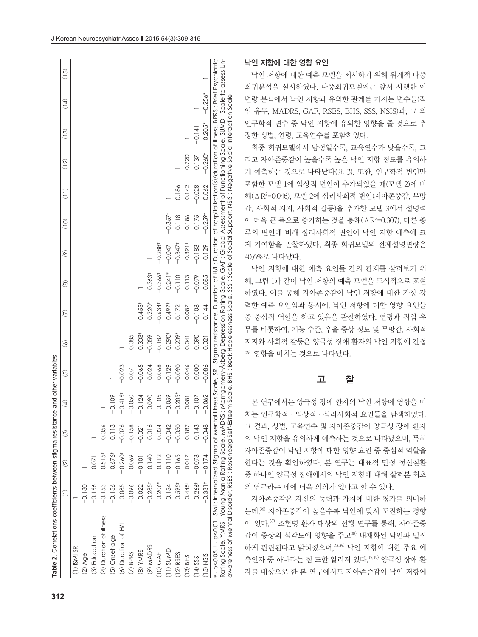| Table 2. Correlations coefficients between stigma resistance and other variables                                                                                                                                                                                                                                                                                                                                    |                       |                       |                         |                                                                                                                    |          |                      |                    |                   |                          |               |          |                       |               |                              |      |
|---------------------------------------------------------------------------------------------------------------------------------------------------------------------------------------------------------------------------------------------------------------------------------------------------------------------------------------------------------------------------------------------------------------------|-----------------------|-----------------------|-------------------------|--------------------------------------------------------------------------------------------------------------------|----------|----------------------|--------------------|-------------------|--------------------------|---------------|----------|-----------------------|---------------|------------------------------|------|
|                                                                                                                                                                                                                                                                                                                                                                                                                     | Ξ                     | $\widehat{\Omega}$    | $\widehat{\mathcal{C}}$ | E                                                                                                                  | $\odot$  | $\widehat{\circ}$    | E                  | $\widehat{\circ}$ | $\widehat{\mathfrak{G}}$ | $\frac{1}{2}$ | Ξ        | $\widehat{\Xi}$       | $\frac{3}{2}$ | $\left( \frac{4}{4} \right)$ | (15) |
| $(1)$ ISMI SR                                                                                                                                                                                                                                                                                                                                                                                                       |                       |                       |                         |                                                                                                                    |          |                      |                    |                   |                          |               |          |                       |               |                              |      |
| $(2)$ Age                                                                                                                                                                                                                                                                                                                                                                                                           | $-0.180$              |                       |                         |                                                                                                                    |          |                      |                    |                   |                          |               |          |                       |               |                              |      |
| (3) Education                                                                                                                                                                                                                                                                                                                                                                                                       | $-0.166$              |                       |                         |                                                                                                                    |          |                      |                    |                   |                          |               |          |                       |               |                              |      |
| (4) Duration of illness                                                                                                                                                                                                                                                                                                                                                                                             | $-0.153$              | 0.515 <sup>†</sup>    | 0.056                   |                                                                                                                    |          |                      |                    |                   |                          |               |          |                       |               |                              |      |
| (5) Onset age                                                                                                                                                                                                                                                                                                                                                                                                       | $-0.156$              | $0.676$ <sup>t</sup>  | 0.113                   | $-0.109$                                                                                                           |          |                      |                    |                   |                          |               |          |                       |               |                              |      |
| (6) Duration of H/I                                                                                                                                                                                                                                                                                                                                                                                                 | 0.085                 | $-0.260$ <sup>+</sup> | $-0.076$                | $-0.416$ <sup>†</sup>                                                                                              | $-0.023$ |                      |                    |                   |                          |               |          |                       |               |                              |      |
| $(7)$ BPRS                                                                                                                                                                                                                                                                                                                                                                                                          | $-0.096$              | 0.069                 | $-0.158$                | $-0.050$                                                                                                           | 0.071    | 0.085                |                    |                   |                          |               |          |                       |               |                              |      |
| (8) YMRS                                                                                                                                                                                                                                                                                                                                                                                                            | 0.022                 | $-0.101$              | $-0.021$                | $-0.124$                                                                                                           | $-0.065$ | 0.303 <sup>†</sup>   | 0.455 <sup>†</sup> |                   |                          |               |          |                       |               |                              |      |
| $(9)$ MADRS                                                                                                                                                                                                                                                                                                                                                                                                         | $-0.285$ <sup>+</sup> | 0.140                 | 0.016                   | 0.090                                                                                                              | 0.024    | $-0.059$             | $0.220*$           | 0.363+            |                          |               |          |                       |               |                              |      |
| $(10)$ GAF                                                                                                                                                                                                                                                                                                                                                                                                          | $0.206*$              | 0.112                 | 0.024                   | 0.105                                                                                                              | 0.068    | $-0.187$             | $-0.634$           | $-0.3661$         | $-0.288$ t               |               |          |                       |               |                              |      |
| $(11)$ SUMD                                                                                                                                                                                                                                                                                                                                                                                                         | 0.154                 | $-0.110$              | $-0.042$                | $-0.059$                                                                                                           | $-0.129$ | $0.290$ <sup>+</sup> | 0.497              | $0.241*$          | $-0.047$                 | $-0.357$      |          |                       |               |                              |      |
| $(12)$ RSES                                                                                                                                                                                                                                                                                                                                                                                                         | 0.595 <sup>†</sup>    | $-0.165$              | $-0.050$                | $-0.205*$                                                                                                          | $-0.090$ | $0.209*$             | 0.172              | $-0.110$          | $-0.347$                 | 0.118         | 0.186    |                       |               |                              |      |
| $(13)$ BHS                                                                                                                                                                                                                                                                                                                                                                                                          | $-0.445^{\dagger}$    | $-0.017$              | $-0.187$                | 0.081                                                                                                              | $-0.046$ | $-0.041$             | $-0.087$           | 0.113             | $0.391$ <sup>+</sup>     | 0.186         | $-0.142$ | $-0.720$ t            |               |                              |      |
| $(14)$ SSS                                                                                                                                                                                                                                                                                                                                                                                                          | 0.2661                | $-0.073$              | 0.143                   | $-0.107$                                                                                                           | 0.000    | 0.090                | $-0.108$           | $-0.079$          | $-0.183$                 | 0.175         | $-0.028$ | 0.137                 | $-0.141$      |                              |      |
| $(15)$ NSIS                                                                                                                                                                                                                                                                                                                                                                                                         | $-0.331$ <sup>+</sup> | $-0.174$              | $-0.048$                | $-0.062$                                                                                                           | $-0.086$ | 0.021                | 0.144              | 0.085             | 0.129                    | $-0.259$ t    | 0.062    | $-0.260$ <sup>+</sup> | $0.205*$      | $-0.256*$                    |      |
| Rating Scale, YMRS : Younia Rating Scale, MADRS : Montgomery-Asberg Depression Rating Scale, GAF : Global Assessment of Functioning Scale, SUMD : Scale to assess Un-<br>* : p<0.01 . Internalized Stigma of Mental Illness Scale, SR : Stigma resistance, Duration of H/I : Duration of hospitalization(s)/duration of illness, BPRS : Brief Psychiatic<br>awareness of Mental Disorder, RSES : Rosenberg Self-Est |                       |                       |                         | teem Scale, BHS : Beck Hopelessness Scale, SSS : Scale of Social Support, NSIS : Negative Social Interaction Scale |          |                      |                    |                   |                          |               |          |                       |               |                              |      |
|                                                                                                                                                                                                                                                                                                                                                                                                                     |                       |                       |                         |                                                                                                                    |          |                      |                    |                   |                          |               |          |                       |               |                              |      |

# 낙인 저항에 대한 영향 요인

낙인 저항에 대한 예측 모델을 제시하기 위해 위계적 다중 회귀분석을 실시하였다. 다중회귀모델에는 앞서 시행한 이 변량 분석에서 낙인 저항과 유의한 관계를 가지는 변수들(직 업 유무, MADRS, GAF, RSES, BHS, SSS, NSIS)과, 그 외 인구학적 변수 중 낙인 저항에 유의한 영향을 줄 것으로 추 정한 성별, 연령, 교육연수를 포함하였다.

최종 회귀모델에서 남성일수록, 교육연수가 낮을수록, 그 리고 자아존중감이 높을수록 높은 낙인 저항 정도를 유의하 게 예측하는 것으로 나타났다(표 3). 또한, 인구학적 변인만 포함한 모델 1에 임상적 변인이 추가되었을 때(모델 2)에 비 해(ΔR2 =0.046), 모델 2에 심리사회적 변인(자아존중감, 무망 감, 사회적 지지, 사회적 갈등)을 추가한 모델 3에서 설명력 이 더욱 큰 폭으로 증가하는 것을 통해(ΔR2 =0.307), 다른 종 류의 변인에 비해 심리사회적 변인이 낙인 저항 예측에 크 게 기여함을 관찰하였다. 최종 회귀모델의 전체설명변량은 40.6%로 나타났다.

낙인 저항에 대한 예측 요인들 간의 관계를 살펴보기 위 해, 그림 1과 같이 낙인 저항의 예측 모델을 도식적으로 표현 하였다. 이를 통해 자아존중감이 낙인 저항에 대한 가장 강 력한 예측 요인임과 동시에, 낙인 저항에 대한 영향 요인들 중 중심적 역할을 하고 있음을 관찰하였다. 연령과 직업 유 무를 비롯하여, 기능 수준, 우울 증상 정도 및 무망감, 사회적 지지와 사회적 갈등은 양극성 장애 환자의 낙인 저항에 간접 적 영향을 미치는 것으로 나타났다.

# 고 찰

본 연구에서는 양극성 장애 환자의 낙인 저항에 영향을 미 치는 인구학적·임상적·심리사회적 요인들을 탐색하였다. 그 결과, 성별, 교육연수 및 자아존중감이 양극성 장애 환자 의 낙인 저항을 유의하게 예측하는 것으로 나타났으며, 특히 자아존중감이 낙인 저항에 대한 영향 요인 중 중심적 역할을 한다는 것을 확인하였다. 본 연구는 대표적 만성 정신질환 중 하나인 양극성 장애에서의 낙인 저항에 대해 살펴본 최초 의 연구라는 데에 더욱 의의가 있다고 할 수 있다.

자아존중감은 자신의 능력과 가치에 대한 평가를 의미하 는데, 36) 자아존중감이 높을수록 낙인에 맞서 도전하는 경향 이 있다. 37) 조현병 환자 대상의 선행 연구를 통해, 자아존중 감이 증상의 심각도에 영향을 주고<sup>38)</sup> 내재화된 낙인과 밀접 하게 관련된다고 밝혀졌으며, 23,39) 낙인 저항에 대한 주요 예 측인자 중 하나라는 점 또한 알려져 있다. 17,19) 양극성 장애 환 자를 대상으로 한 본 연구에서도 자아존중감이 낙인 저항에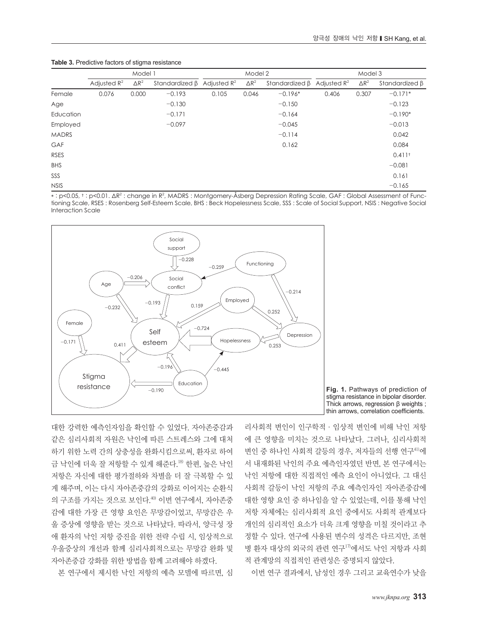#### **Table 3.** Predictive factors of stigma resistance

|              | Model 1        |                         |                |                         | Model 2      |                |                | Model 3      |                      |  |
|--------------|----------------|-------------------------|----------------|-------------------------|--------------|----------------|----------------|--------------|----------------------|--|
|              | Adjusted $R^2$ | $\Delta$ R <sup>2</sup> | Standardized B | Adjusted $\mathbb{R}^2$ | $\Delta R^2$ | Standardized B | Adjusted $R^2$ | $\Delta R^2$ | Standardized B       |  |
| Female       | 0.076          | 0.000                   | $-0.193$       | 0.105                   | 0.046        | $-0.196*$      | 0.406          | 0.307        | $-0.171*$            |  |
| Age          |                |                         | $-0.130$       |                         |              | $-0.150$       |                |              | $-0.123$             |  |
| Education    |                |                         | $-0.171$       |                         |              | $-0.164$       |                |              | $-0.190*$            |  |
| Employed     |                |                         | $-0.097$       |                         |              | $-0.045$       |                |              | $-0.013$             |  |
| <b>MADRS</b> |                |                         |                |                         |              | $-0.114$       |                |              | 0.042                |  |
| GAF          |                |                         |                |                         |              | 0.162          |                |              | 0.084                |  |
| <b>RSES</b>  |                |                         |                |                         |              |                |                |              | $0.411$ <sup>t</sup> |  |
| <b>BHS</b>   |                |                         |                |                         |              |                |                |              | $-0.081$             |  |
| SSS          |                |                         |                |                         |              |                |                |              | 0.161                |  |
| <b>NSIS</b>  |                |                         |                |                         |              |                |                |              | $-0.165$             |  |

\*: p<0.05, †: p<0.01. ΔR<sup>2</sup> : change in R<sup>2</sup>, MADRS : Montgomery-Åsberg Depression Rating Scale, GAF : Global Assessment of Functioning Scale, RSES : Rosenberg Self-Esteem Scale, BHS : Beck Hopelessness Scale, SSS : Scale of Social Support, NSIS : Negative Social Interaction Scale





대한 강력한 예측인자임을 확인할 수 있었다. 자아존중감과 같은 심리사회적 자원은 낙인에 따른 스트레스와 그에 대처 하기 위한 노력 간의 상충성을 완화시킴으로써, 환자로 하여 금 낙인에 더욱 잘 저항할 수 있게 해준다.<sup>18)</sup> 한편, 높은 낙인 저항은 자신에 대한 평가절하와 차별을 더 잘 극복할 수 있 게 해주며, 이는 다시 자아존중감의 강화로 이어지는 순환식 의 구조를 가지는 것으로 보인다. 40) 이번 연구에서, 자아존중 감에 대한 가장 큰 영향 요인은 무망감이었고, 무망감은 우 울 증상에 영향을 받는 것으로 나타났다. 따라서, 양극성 장 애 환자의 낙인 저항 증진을 위한 전략 수립 시, 임상적으로 우울증상의 개선과 함께 심리사회적으로는 무망감 완화 및 자아존중감 강화를 위한 방법을 함께 고려해야 하겠다.

본 연구에서 제시한 낙인 저항의 예측 모델에 따르면, 심

리사회적 변인이 인구학적·임상적 변인에 비해 낙인 저항 에 큰 영향을 미치는 것으로 나타났다. 그러나, 심리사회적 변인 중 하나인 사회적 갈등의 경우, 저자들의 선행 연구41)에 서 내재화된 낙인의 주요 예측인자였던 반면, 본 연구에서는 낙인 저항에 대한 직접적인 예측 요인이 아니었다. 그 대신 사회적 갈등이 낙인 저항의 주요 예측인자인 자아존중감에 대한 영향 요인 중 하나임을 알 수 있었는데, 이를 통해 낙인 저항 자체에는 심리사회적 요인 중에서도 사회적 관계보다 개인의 심리적인 요소가 더욱 크게 영향을 미칠 것이라고 추 정할 수 있다. 연구에 사용된 변수의 성격은 다르지만, 조현 병 환자 대상의 외국의 관련 연구17)에서도 낙인 저항과 사회 적 관계망의 직접적인 관련성은 증명되지 않았다.

이번 연구 결과에서, 남성인 경우 그리고 교육연수가 낮을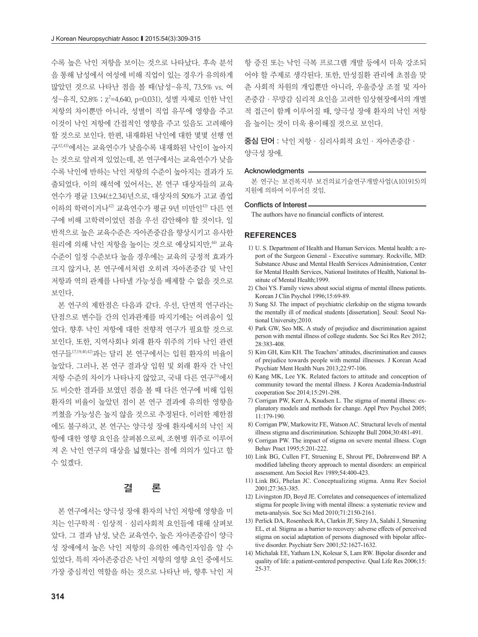수록 높은 낙인 저항을 보이는 것으로 나타났다. 후속 분석 을 통해 남성에서 여성에 비해 직업이 있는 경우가 유의하게 많았던 것으로 나타난 점을 볼 때(남성-유직, 73.5% vs. 여 성-유직, 52.8% ; χ<sup>2</sup>=4.640, p=0.031), 성별 자체로 인한 낙인 저항의 차이뿐만 아니라, 성별이 직업 유무에 영향을 주고 이것이 낙인 저항에 간접적인 영향을 주고 있음도 고려해야 할 것으로 보인다. 한편, 내재화된 낙인에 대한 몇몇 선행 연 구42,43) 에서는 교육연수가 낮을수록 내재화된 낙인이 높아지 는 것으로 알려져 있었는데, 본 연구에서는 교육연수가 낮을 수록 낙인에 반하는 낙인 저항의 수준이 높아지는 결과가 도 출되었다. 이의 해석에 있어서는, 본 연구 대상자들의 교육 연수가 평균 13.94(±2.34)년으로, 대상자의 50%가 고교 졸업 이하의 학력이거나42) 교육연수가 평균 9년 미만인43) 다른 연 구에 비해 고학력이었던 점을 우선 감안해야 할 것이다. 일 반적으로 높은 교육수준은 자아존중감을 향상시키고 유사한 원리에 의해 낙인 저항을 높이는 것으로 예상되지만, 44) 교육 수준이 일정 수준보다 높을 경우에는 교육의 긍정적 효과가 크지 않거나, 본 연구에서처럼 오히려 자아존중감 및 낙인 저항과 역의 관계를 나타낼 가능성을 배제할 수 없을 것으로 보인다.

본 연구의 제한점은 다음과 같다. 우선, 단면적 연구라는 단점으로 변수들 간의 인과관계를 따지기에는 어려움이 있 었다. 향후 낙인 저항에 대한 전향적 연구가 필요할 것으로 보인다. 또한, 지역사회나 외래 환자 위주의 기타 낙인 관련 연구들17,19,40,42) 과는 달리 본 연구에서는 입원 환자의 비율이 높았다. 그러나, 본 연구 결과상 입원 및 외래 환자 간 낙인 저항 수준의 차이가 나타나지 않았고, 국내 다른 연구24)에서 도 비슷한 결과를 보였던 점을 볼 때 다른 연구에 비해 입원 환자의 비율이 높았던 점이 본 연구 결과에 유의한 영향을 끼쳤을 가능성은 높지 않을 것으로 추정된다. 이러한 제한점 에도 불구하고, 본 연구는 양극성 장애 환자에서의 낙인 저 항에 대한 영향 요인을 살펴봄으로써, 조현병 위주로 이루어 져 온 낙인 연구의 대상을 넓혔다는 점에 의의가 있다고 할 수 있겠다.

# 결 론

본 연구에서는 양극성 장애 환자의 낙인 저항에 영향을 미 치는 인구학적·임상적·심리사회적 요인들에 대해 살펴보 았다. 그 결과 남성, 낮은 교육연수, 높은 자아존중감이 양극 성 장애에서 높은 낙인 저항의 유의한 예측인자임을 알 수 있었다. 특히 자아존중감은 낙인 저항의 영향 요인 중에서도 가장 중심적인 역할을 하는 것으로 나타난 바, 향후 낙인 저 항 증진 또는 낙인 극복 프로그램 개발 등에서 더욱 강조되 어야 할 주제로 생각된다. 또한, 만성질환 관리에 초점을 맞 춘 사회적 차원의 개입뿐만 아니라, 우울증상 조절 및 자아 존중감·무망감 심리적 요인을 고려한 임상현장에서의 개별 적 접근이 함께 이루어질 때, 양극성 장애 환자의 낙인 저항 을 높이는 것이 더욱 용이해질 것으로 보인다.

중심 단어 : 낙인 저항·심리사회적 요인·자아존중감· 양극성 장애.

#### Acknowledgments -

본 연구는 보건복지부 보건의료기술연구개발사업(A101915)의 지원에 의하여 이루어진 것임.

#### Conflicts of Interest

The authors have no financial conflicts of interest.

### **REFERENCES**

- 1) U. S. Department of Health and Human Services. Mental health: a report of the Surgeon General - Executive summary. Rockville, MD: Substance Abuse and Mental Health Services Administration, Center for Mental Health Services, National Institutes of Health, National Institute of Mental Health;1999.
- 2) Choi YS. Family views about social stigma of mental illness patients. Korean J Clin Psychol 1996;15:69-89.
- 3) Sung SJ. The impact of psychiatric clerkship on the stigma towards the mentally ill of medical students [dissertation]. Seoul: Seoul National University;2010.
- 4) Park GW, Seo MK. A study of prejudice and discrimination against person with mental illness of college students. Soc Sci Res Rev 2012; 28:383-408.
- 5) Kim GH, Kim KH. The Teachers' attitudes, discrimination and causes of prejudice towards people with mental illnesses. J Korean Acad Psychiatr Ment Health Nurs 2013;22:97-106.
- 6) Kang MK, Lee YK. Related factors to attitude and conception of community toward the mental illness. J Korea Academia-Industrial cooperation Soc 2014;15:291-298.
- 7) Corrigan PW, Kerr A, Knudsen L. The stigma of mental illness: explanatory models and methods for change. Appl Prev Psychol 2005; 11:179-190.
- 8) Corrigan PW, Markowitz FE, Watson AC. Structural levels of mental illness stigma and discrimination. Schizophr Bull 2004;30:481-491.
- 9) Corrigan PW. The impact of stigma on severe mental illness. Cogn Behav Pract 1995;5:201-222.
- 10) Link BG, Cullen FT, Struening E, Shrout PE, Dohrenwend BP. A modified labeling theory approach to mental disorders: an empirical assessment. Am Sociol Rev 1989;54:400-423.
- 11) Link BG, Phelan JC. Conceptualizing stigma. Annu Rev Sociol 2001;27:363-385.
- 12) Livingston JD, Boyd JE. Correlates and consequences of internalized stigma for people living with mental illness: a systematic review and meta-analysis. Soc Sci Med 2010;71:2150-2161.
- 13) Perlick DA, Rosenheck RA, Clarkin JF, Sirey JA, Salahi J, Struening EL, et al. Stigma as a barrier to recovery: adverse effects of perceived stigma on social adaptation of persons diagnosed with bipolar affective disorder. Psychiatr Serv 2001;52:1627-1632.
- 14) Michalak EE, Yatham LN, Kolesar S, Lam RW. Bipolar disorder and quality of life: a patient-centered perspective. Qual Life Res 2006;15: 25-37.